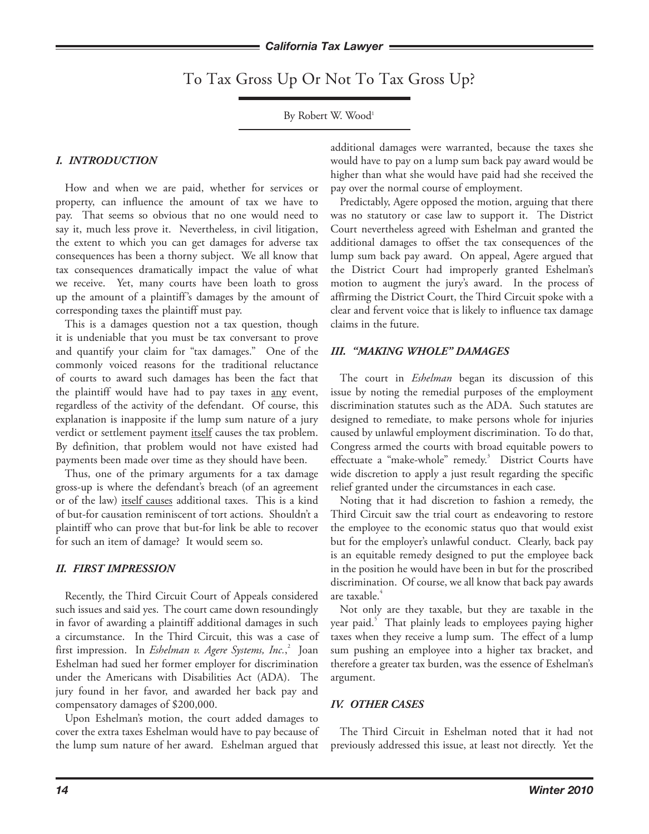To Tax Gross Up Or Not To Tax Gross Up?

By Robert W. Wood<sup>1</sup>

### *I. INTRODUCTION*

How and when we are paid, whether for services or property, can influence the amount of tax we have to pay. That seems so obvious that no one would need to say it, much less prove it. Nevertheless, in civil litigation, the extent to which you can get damages for adverse tax consequences has been a thorny subject. We all know that tax consequences dramatically impact the value of what we receive. Yet, many courts have been loath to gross up the amount of a plaintiff's damages by the amount of corresponding taxes the plaintiff must pay.

This is a damages question not a tax question, though it is undeniable that you must be tax conversant to prove and quantify your claim for "tax damages." One of the commonly voiced reasons for the traditional reluctance of courts to award such damages has been the fact that the plaintiff would have had to pay taxes in <u>any</u> event, regardless of the activity of the defendant. Of course, this explanation is inapposite if the lump sum nature of a jury verdict or settlement payment itself causes the tax problem. By definition, that problem would not have existed had payments been made over time as they should have been.

Thus, one of the primary arguments for a tax damage gross-up is where the defendant's breach (of an agreement or of the law) itself causes additional taxes. This is a kind of but-for causation reminiscent of tort actions. Shouldn't a plaintiff who can prove that but-for link be able to recover for such an item of damage? It would seem so.

#### *II. FIRST IMPRESSION*

Recently, the Third Circuit Court of Appeals considered such issues and said yes. The court came down resoundingly in favor of awarding a plaintiff additional damages in such a circumstance. In the Third Circuit, this was a case of first impression. In *Eshelman v. Agere Systems, Inc.*, 2 Joan Eshelman had sued her former employer for discrimination under the Americans with Disabilities Act (ADA). The jury found in her favor, and awarded her back pay and compensatory damages of \$200,000.

Upon Eshelman's motion, the court added damages to cover the extra taxes Eshelman would have to pay because of the lump sum nature of her award. Eshelman argued that

additional damages were warranted, because the taxes she would have to pay on a lump sum back pay award would be higher than what she would have paid had she received the pay over the normal course of employment.

Predictably, Agere opposed the motion, arguing that there was no statutory or case law to support it. The District Court nevertheless agreed with Eshelman and granted the additional damages to offset the tax consequences of the lump sum back pay award. On appeal, Agere argued that the District Court had improperly granted Eshelman's motion to augment the jury's award. In the process of affirming the District Court, the Third Circuit spoke with a clear and fervent voice that is likely to influence tax damage claims in the future.

### *III. "MAKING WHOLE" DAMAGES*

The court in *Eshelman* began its discussion of this issue by noting the remedial purposes of the employment discrimination statutes such as the ADA. Such statutes are designed to remediate, to make persons whole for injuries caused by unlawful employment discrimination. To do that, Congress armed the courts with broad equitable powers to effectuate a "make-whole" remedy.<sup>3</sup> District Courts have wide discretion to apply a just result regarding the specific relief granted under the circumstances in each case.

Noting that it had discretion to fashion a remedy, the Third Circuit saw the trial court as endeavoring to restore the employee to the economic status quo that would exist but for the employer's unlawful conduct. Clearly, back pay is an equitable remedy designed to put the employee back in the position he would have been in but for the proscribed discrimination. Of course, we all know that back pay awards are taxable.<sup>4</sup>

Not only are they taxable, but they are taxable in the year paid.<sup>5</sup> That plainly leads to employees paying higher taxes when they receive a lump sum. The effect of a lump sum pushing an employee into a higher tax bracket, and therefore a greater tax burden, was the essence of Eshelman's argument.

## *IV. OTHER CASES*

The Third Circuit in Eshelman noted that it had not previously addressed this issue, at least not directly. Yet the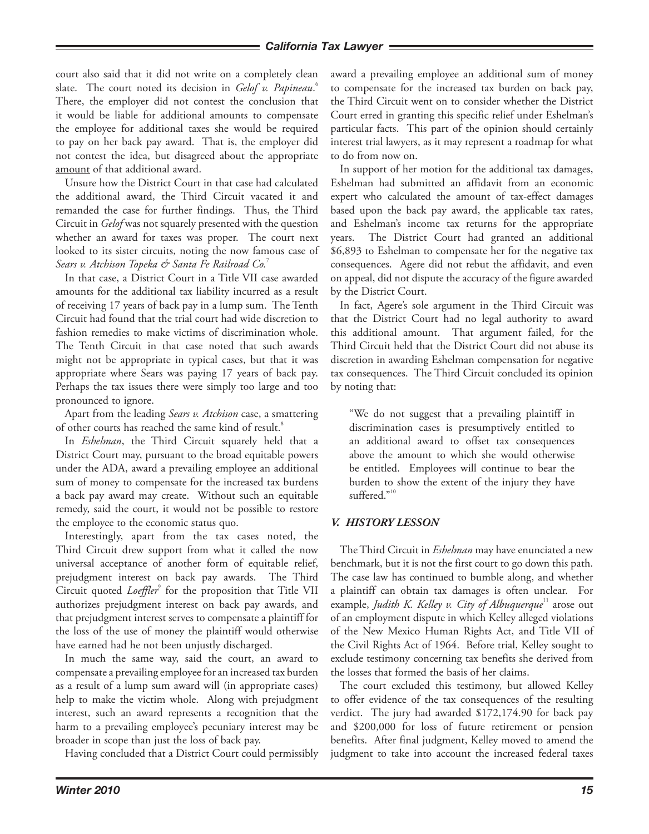#### *California Tax Lawyer*

court also said that it did not write on a completely clean slate. The court noted its decision in *Gelof v. Papineau*. 6 There, the employer did not contest the conclusion that it would be liable for additional amounts to compensate the employee for additional taxes she would be required to pay on her back pay award. That is, the employer did not contest the idea, but disagreed about the appropriate amount of that additional award.

Unsure how the District Court in that case had calculated the additional award, the Third Circuit vacated it and remanded the case for further findings. Thus, the Third Circuit in *Gelof* was not squarely presented with the question whether an award for taxes was proper. The court next looked to its sister circuits, noting the now famous case of *Sears v. Atchison Topeka & Santa Fe Railroad Co.*<sup>7</sup>

In that case, a District Court in a Title VII case awarded amounts for the additional tax liability incurred as a result of receiving 17 years of back pay in a lump sum. The Tenth Circuit had found that the trial court had wide discretion to fashion remedies to make victims of discrimination whole. The Tenth Circuit in that case noted that such awards might not be appropriate in typical cases, but that it was appropriate where Sears was paying 17 years of back pay. Perhaps the tax issues there were simply too large and too pronounced to ignore.

Apart from the leading *Sears v. Atchison* case, a smattering of other courts has reached the same kind of result.<sup>8</sup>

In *Eshelman*, the Third Circuit squarely held that a District Court may, pursuant to the broad equitable powers under the ADA, award a prevailing employee an additional sum of money to compensate for the increased tax burdens a back pay award may create. Without such an equitable remedy, said the court, it would not be possible to restore the employee to the economic status quo.

Interestingly, apart from the tax cases noted, the Third Circuit drew support from what it called the now universal acceptance of another form of equitable relief, prejudgment interest on back pay awards. The Third Circuit quoted *Loeffler*<sup>9</sup> for the proposition that Title VII authorizes prejudgment interest on back pay awards, and that prejudgment interest serves to compensate a plaintiff for the loss of the use of money the plaintiff would otherwise have earned had he not been unjustly discharged.

In much the same way, said the court, an award to compensate a prevailing employee for an increased tax burden as a result of a lump sum award will (in appropriate cases) help to make the victim whole. Along with prejudgment interest, such an award represents a recognition that the harm to a prevailing employee's pecuniary interest may be broader in scope than just the loss of back pay.

Having concluded that a District Court could permissibly

award a prevailing employee an additional sum of money to compensate for the increased tax burden on back pay, the Third Circuit went on to consider whether the District Court erred in granting this specific relief under Eshelman's particular facts. This part of the opinion should certainly interest trial lawyers, as it may represent a roadmap for what to do from now on.

In support of her motion for the additional tax damages, Eshelman had submitted an affidavit from an economic expert who calculated the amount of tax-effect damages based upon the back pay award, the applicable tax rates, and Eshelman's income tax returns for the appropriate years. The District Court had granted an additional \$6,893 to Eshelman to compensate her for the negative tax consequences. Agere did not rebut the affidavit, and even on appeal, did not dispute the accuracy of the figure awarded by the District Court.

In fact, Agere's sole argument in the Third Circuit was that the District Court had no legal authority to award this additional amount. That argument failed, for the Third Circuit held that the District Court did not abuse its discretion in awarding Eshelman compensation for negative tax consequences. The Third Circuit concluded its opinion by noting that:

"We do not suggest that a prevailing plaintiff in discrimination cases is presumptively entitled to an additional award to offset tax consequences above the amount to which she would otherwise be entitled. Employees will continue to bear the burden to show the extent of the injury they have suffered."<sup>10</sup>

#### *V. HISTORY LESSON*

The Third Circuit in *Eshelman* may have enunciated a new benchmark, but it is not the first court to go down this path. The case law has continued to bumble along, and whether a plaintiff can obtain tax damages is often unclear. For example, *Judith K. Kelley v. City of Albuquerque*<sup>11</sup> arose out of an employment dispute in which Kelley alleged violations of the New Mexico Human Rights Act, and Title VII of the Civil Rights Act of 1964. Before trial, Kelley sought to exclude testimony concerning tax benefits she derived from the losses that formed the basis of her claims.

The court excluded this testimony, but allowed Kelley to offer evidence of the tax consequences of the resulting verdict. The jury had awarded \$172,174.90 for back pay and \$200,000 for loss of future retirement or pension benefits. After final judgment, Kelley moved to amend the judgment to take into account the increased federal taxes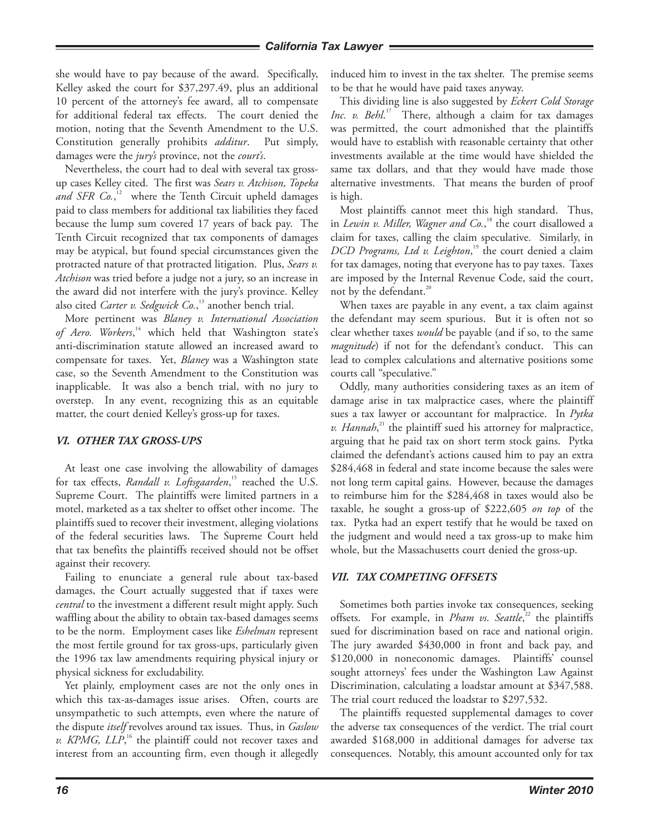#### *California Tax Lawyer*

she would have to pay because of the award. Specifically, Kelley asked the court for \$37,297.49, plus an additional 10 percent of the attorney's fee award, all to compensate for additional federal tax effects. The court denied the motion, noting that the Seventh Amendment to the U.S. Constitution generally prohibits *additur*. Put simply, damages were the *jury's* province, not the *court's*.

Nevertheless, the court had to deal with several tax grossup cases Kelley cited. The first was *Sears v. Atchison, Topeka and SFR Co.*, 12 where the Tenth Circuit upheld damages paid to class members for additional tax liabilities they faced because the lump sum covered 17 years of back pay. The Tenth Circuit recognized that tax components of damages may be atypical, but found special circumstances given the protracted nature of that protracted litigation. Plus, *Sears v. Atchison* was tried before a judge not a jury, so an increase in the award did not interfere with the jury's province. Kelley also cited *Carter v. Sedgwick Co.*, 13 another bench trial.

More pertinent was *Blaney v. International Association*  of Aero. Workers,<sup>14</sup> which held that Washington state's anti-discrimination statute allowed an increased award to compensate for taxes. Yet, *Blaney* was a Washington state case, so the Seventh Amendment to the Constitution was inapplicable. It was also a bench trial, with no jury to overstep. In any event, recognizing this as an equitable matter, the court denied Kelley's gross-up for taxes.

#### *VI. OTHER TAX GROSS-UPS*

At least one case involving the allowability of damages for tax effects, *Randall v. Loftsgaarden*, 15 reached the U.S. Supreme Court. The plaintiffs were limited partners in a motel, marketed as a tax shelter to offset other income. The plaintiffs sued to recover their investment, alleging violations of the federal securities laws. The Supreme Court held that tax benefits the plaintiffs received should not be offset against their recovery.

Failing to enunciate a general rule about tax-based damages, the Court actually suggested that if taxes were *central* to the investment a different result might apply. Such waffling about the ability to obtain tax-based damages seems to be the norm. Employment cases like *Eshelman* represent the most fertile ground for tax gross-ups, particularly given the 1996 tax law amendments requiring physical injury or physical sickness for excludability.

Yet plainly, employment cases are not the only ones in which this tax-as-damages issue arises. Often, courts are unsympathetic to such attempts, even where the nature of the dispute *itself* revolves around tax issues. Thus, in *Gaslow v. KPMG, LLP*,<sup>16</sup> the plaintiff could not recover taxes and interest from an accounting firm, even though it allegedly

induced him to invest in the tax shelter. The premise seems to be that he would have paid taxes anyway.

This dividing line is also suggested by *Eckert Cold Storage Inc. v. Behl*. 17 There, although a claim for tax damages was permitted, the court admonished that the plaintiffs would have to establish with reasonable certainty that other investments available at the time would have shielded the same tax dollars, and that they would have made those alternative investments. That means the burden of proof is high.

Most plaintiffs cannot meet this high standard. Thus, in *Lewin v. Miller, Wagner and Co.*, 18 the court disallowed a claim for taxes, calling the claim speculative. Similarly, in *DCD Programs, Ltd v. Leighton*, 19 the court denied a claim for tax damages, noting that everyone has to pay taxes. Taxes are imposed by the Internal Revenue Code, said the court, not by the defendant.<sup>20</sup>

When taxes are payable in any event, a tax claim against the defendant may seem spurious. But it is often not so clear whether taxes *would* be payable (and if so, to the same *magnitude*) if not for the defendant's conduct. This can lead to complex calculations and alternative positions some courts call "speculative."

Oddly, many authorities considering taxes as an item of damage arise in tax malpractice cases, where the plaintiff sues a tax lawyer or accountant for malpractice. In *Pytka*  v. Hannah,<sup>21</sup> the plaintiff sued his attorney for malpractice, arguing that he paid tax on short term stock gains. Pytka claimed the defendant's actions caused him to pay an extra \$284,468 in federal and state income because the sales were not long term capital gains. However, because the damages to reimburse him for the \$284,468 in taxes would also be taxable, he sought a gross-up of \$222,605 *on top* of the tax. Pytka had an expert testify that he would be taxed on the judgment and would need a tax gross-up to make him whole, but the Massachusetts court denied the gross-up.

#### *VII. TAX COMPETING OFFSETS*

Sometimes both parties invoke tax consequences, seeking offsets. For example, in *Pham vs. Seattle*,<sup>22</sup> the plaintiffs sued for discrimination based on race and national origin. The jury awarded \$430,000 in front and back pay, and \$120,000 in noneconomic damages. Plaintiffs' counsel sought attorneys' fees under the Washington Law Against Discrimination, calculating a loadstar amount at \$347,588. The trial court reduced the loadstar to \$297,532.

The plaintiffs requested supplemental damages to cover the adverse tax consequences of the verdict. The trial court awarded \$168,000 in additional damages for adverse tax consequences. Notably, this amount accounted only for tax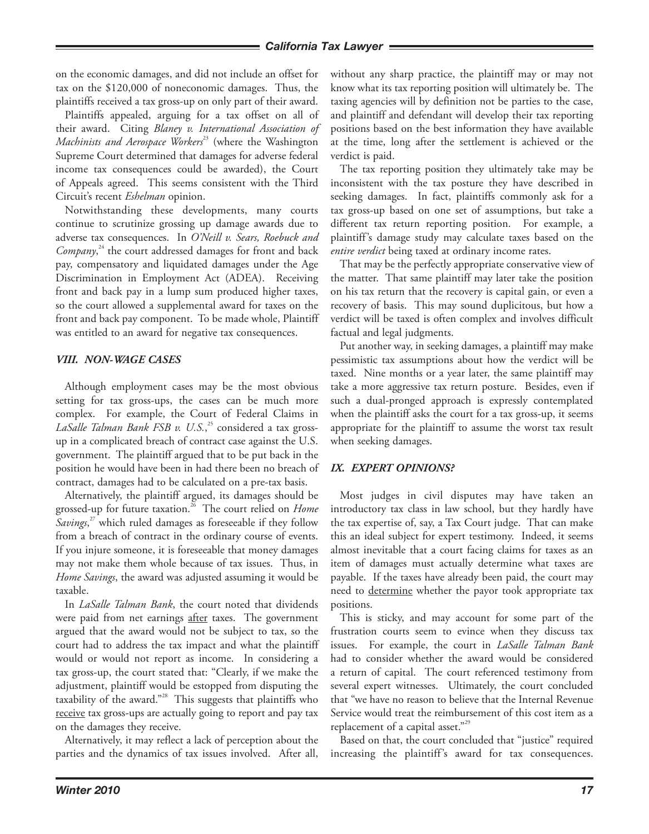#### *California Tax Lawyer*

on the economic damages, and did not include an offset for tax on the \$120,000 of noneconomic damages. Thus, the plaintiffs received a tax gross-up on only part of their award.

Plaintiffs appealed, arguing for a tax offset on all of their award. Citing *Blaney v. International Association of Machinists and Aerospace Workers*<sup>23</sup> (where the Washington Supreme Court determined that damages for adverse federal income tax consequences could be awarded), the Court of Appeals agreed. This seems consistent with the Third Circuit's recent *Eshelman* opinion.

Notwithstanding these developments, many courts continue to scrutinize grossing up damage awards due to adverse tax consequences. In *O'Neill v. Sears, Roebuck and*  Company,<sup>24</sup> the court addressed damages for front and back pay, compensatory and liquidated damages under the Age Discrimination in Employment Act (ADEA). Receiving front and back pay in a lump sum produced higher taxes, so the court allowed a supplemental award for taxes on the front and back pay component. To be made whole, Plaintiff was entitled to an award for negative tax consequences.

### *VIII. NON-WAGE CASES*

Although employment cases may be the most obvious setting for tax gross-ups, the cases can be much more complex. For example, the Court of Federal Claims in *LaSalle Talman Bank FSB v. U.S.*, 25 considered a tax grossup in a complicated breach of contract case against the U.S. government. The plaintiff argued that to be put back in the position he would have been in had there been no breach of contract, damages had to be calculated on a pre-tax basis.

Alternatively, the plaintiff argued, its damages should be grossed-up for future taxation.<sup>26</sup> The court relied on *Home Savings*, 27 which ruled damages as foreseeable if they follow from a breach of contract in the ordinary course of events. If you injure someone, it is foreseeable that money damages may not make them whole because of tax issues. Thus, in *Home Savings*, the award was adjusted assuming it would be taxable.

In *LaSalle Talman Bank*, the court noted that dividends were paid from net earnings after taxes. The government argued that the award would not be subject to tax, so the court had to address the tax impact and what the plaintiff would or would not report as income. In considering a tax gross-up, the court stated that: "Clearly, if we make the adjustment, plaintiff would be estopped from disputing the taxability of the award."<sup>28</sup> This suggests that plaintiffs who receive tax gross-ups are actually going to report and pay tax on the damages they receive.

Alternatively, it may reflect a lack of perception about the parties and the dynamics of tax issues involved. After all, without any sharp practice, the plaintiff may or may not know what its tax reporting position will ultimately be. The taxing agencies will by definition not be parties to the case, and plaintiff and defendant will develop their tax reporting positions based on the best information they have available at the time, long after the settlement is achieved or the verdict is paid.

The tax reporting position they ultimately take may be inconsistent with the tax posture they have described in seeking damages. In fact, plaintiffs commonly ask for a tax gross-up based on one set of assumptions, but take a different tax return reporting position. For example, a plaintiff's damage study may calculate taxes based on the *entire verdict* being taxed at ordinary income rates.

That may be the perfectly appropriate conservative view of the matter. That same plaintiff may later take the position on his tax return that the recovery is capital gain, or even a recovery of basis. This may sound duplicitous, but how a verdict will be taxed is often complex and involves difficult factual and legal judgments.

Put another way, in seeking damages, a plaintiff may make pessimistic tax assumptions about how the verdict will be taxed. Nine months or a year later, the same plaintiff may take a more aggressive tax return posture. Besides, even if such a dual-pronged approach is expressly contemplated when the plaintiff asks the court for a tax gross-up, it seems appropriate for the plaintiff to assume the worst tax result when seeking damages.

## *IX. EXPERT OPINIONS?*

Most judges in civil disputes may have taken an introductory tax class in law school, but they hardly have the tax expertise of, say, a Tax Court judge. That can make this an ideal subject for expert testimony. Indeed, it seems almost inevitable that a court facing claims for taxes as an item of damages must actually determine what taxes are payable. If the taxes have already been paid, the court may need to determine whether the payor took appropriate tax positions.

This is sticky, and may account for some part of the frustration courts seem to evince when they discuss tax issues. For example, the court in *LaSalle Talman Bank* had to consider whether the award would be considered a return of capital. The court referenced testimony from several expert witnesses. Ultimately, the court concluded that "we have no reason to believe that the Internal Revenue Service would treat the reimbursement of this cost item as a replacement of a capital asset."<sup>29</sup>

Based on that, the court concluded that "justice" required increasing the plaintiff's award for tax consequences.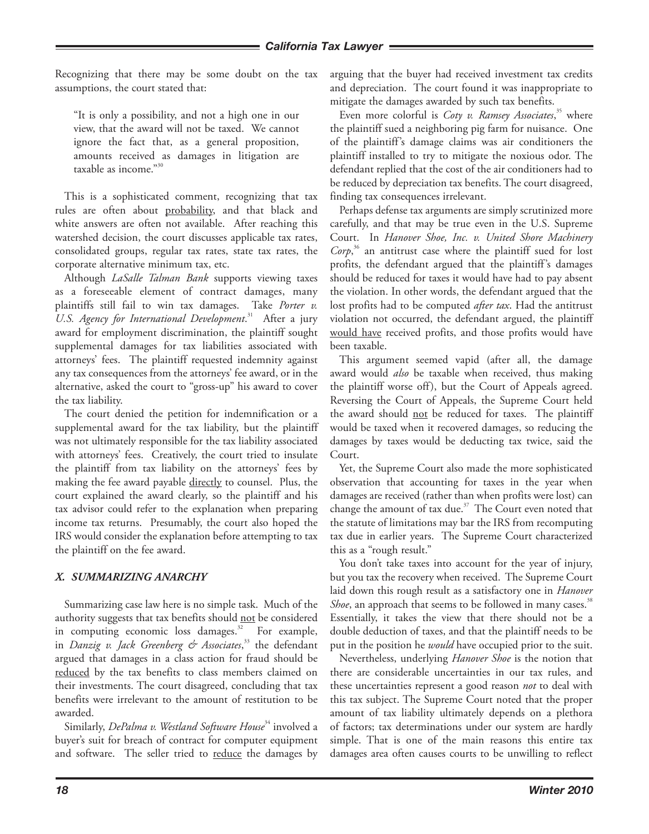Recognizing that there may be some doubt on the tax assumptions, the court stated that:

"It is only a possibility, and not a high one in our view, that the award will not be taxed. We cannot ignore the fact that, as a general proposition, amounts received as damages in litigation are taxable as income."<sup>30</sup>

This is a sophisticated comment, recognizing that tax rules are often about probability, and that black and white answers are often not available. After reaching this watershed decision, the court discusses applicable tax rates, consolidated groups, regular tax rates, state tax rates, the corporate alternative minimum tax, etc.

Although *LaSalle Talman Bank* supports viewing taxes as a foreseeable element of contract damages, many plaintiffs still fail to win tax damages. Take *Porter v.*  U.S. Agency for International Development.<sup>31</sup> After a jury award for employment discrimination, the plaintiff sought supplemental damages for tax liabilities associated with attorneys' fees. The plaintiff requested indemnity against any tax consequences from the attorneys' fee award, or in the alternative, asked the court to "gross-up" his award to cover the tax liability.

The court denied the petition for indemnification or a supplemental award for the tax liability, but the plaintiff was not ultimately responsible for the tax liability associated with attorneys' fees. Creatively, the court tried to insulate the plaintiff from tax liability on the attorneys' fees by making the fee award payable directly to counsel. Plus, the court explained the award clearly, so the plaintiff and his tax advisor could refer to the explanation when preparing income tax returns. Presumably, the court also hoped the IRS would consider the explanation before attempting to tax the plaintiff on the fee award.

## *X. SUMMARIZING ANARCHY*

Summarizing case law here is no simple task. Much of the authority suggests that tax benefits should not be considered in computing economic loss damages. $32$  For example, in *Danzig v. Jack Greenberg & Associates*, 33 the defendant argued that damages in a class action for fraud should be reduced by the tax benefits to class members claimed on their investments. The court disagreed, concluding that tax benefits were irrelevant to the amount of restitution to be awarded.

Similarly, *DePalma v. Westland Software House*<sup>34</sup> involved a buyer's suit for breach of contract for computer equipment and software. The seller tried to reduce the damages by arguing that the buyer had received investment tax credits and depreciation. The court found it was inappropriate to mitigate the damages awarded by such tax benefits.

Even more colorful is *Coty v. Ramsey Associates*, 35 where the plaintiff sued a neighboring pig farm for nuisance. One of the plaintiff's damage claims was air conditioners the plaintiff installed to try to mitigate the noxious odor. The defendant replied that the cost of the air conditioners had to be reduced by depreciation tax benefits. The court disagreed, finding tax consequences irrelevant.

Perhaps defense tax arguments are simply scrutinized more carefully, and that may be true even in the U.S. Supreme Court. In *Hanover Shoe, Inc. v. United Shore Machinery Corp*, 36 an antitrust case where the plaintiff sued for lost profits, the defendant argued that the plaintiff's damages should be reduced for taxes it would have had to pay absent the violation. In other words, the defendant argued that the lost profits had to be computed *after tax*. Had the antitrust violation not occurred, the defendant argued, the plaintiff would have received profits, and those profits would have been taxable.

This argument seemed vapid (after all, the damage award would *also* be taxable when received, thus making the plaintiff worse off), but the Court of Appeals agreed. Reversing the Court of Appeals, the Supreme Court held the award should not be reduced for taxes. The plaintiff would be taxed when it recovered damages, so reducing the damages by taxes would be deducting tax twice, said the Court.

Yet, the Supreme Court also made the more sophisticated observation that accounting for taxes in the year when damages are received (rather than when profits were lost) can change the amount of tax due.<sup>37</sup> The Court even noted that the statute of limitations may bar the IRS from recomputing tax due in earlier years. The Supreme Court characterized this as a "rough result."

You don't take taxes into account for the year of injury, but you tax the recovery when received. The Supreme Court laid down this rough result as a satisfactory one in *Hanover Shoe*, an approach that seems to be followed in many cases.<sup>38</sup> Essentially, it takes the view that there should not be a double deduction of taxes, and that the plaintiff needs to be put in the position he *would* have occupied prior to the suit.

Nevertheless, underlying *Hanover Shoe* is the notion that there are considerable uncertainties in our tax rules, and these uncertainties represent a good reason *not* to deal with this tax subject. The Supreme Court noted that the proper amount of tax liability ultimately depends on a plethora of factors; tax determinations under our system are hardly simple. That is one of the main reasons this entire tax damages area often causes courts to be unwilling to reflect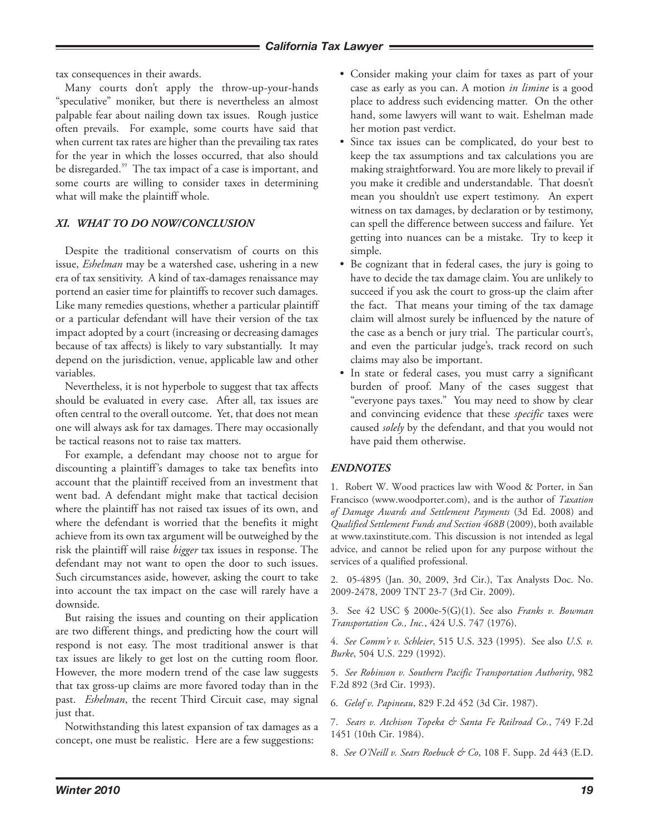tax consequences in their awards.

Many courts don't apply the throw-up-your-hands "speculative" moniker, but there is nevertheless an almost palpable fear about nailing down tax issues. Rough justice often prevails. For example, some courts have said that when current tax rates are higher than the prevailing tax rates for the year in which the losses occurred, that also should be disregarded.<sup>39</sup> The tax impact of a case is important, and some courts are willing to consider taxes in determining what will make the plaintiff whole.

# *XI. WHAT TO DO NOW/CONCLUSION*

Despite the traditional conservatism of courts on this issue, *Eshelman* may be a watershed case, ushering in a new era of tax sensitivity. A kind of tax-damages renaissance may portend an easier time for plaintiffs to recover such damages. Like many remedies questions, whether a particular plaintiff or a particular defendant will have their version of the tax impact adopted by a court (increasing or decreasing damages because of tax affects) is likely to vary substantially. It may depend on the jurisdiction, venue, applicable law and other variables.

Nevertheless, it is not hyperbole to suggest that tax affects should be evaluated in every case. After all, tax issues are often central to the overall outcome. Yet, that does not mean one will always ask for tax damages. There may occasionally be tactical reasons not to raise tax matters.

For example, a defendant may choose not to argue for discounting a plaintiff's damages to take tax benefits into account that the plaintiff received from an investment that went bad. A defendant might make that tactical decision where the plaintiff has not raised tax issues of its own, and where the defendant is worried that the benefits it might achieve from its own tax argument will be outweighed by the risk the plaintiff will raise *bigger* tax issues in response. The defendant may not want to open the door to such issues. Such circumstances aside, however, asking the court to take into account the tax impact on the case will rarely have a downside.

But raising the issues and counting on their application are two different things, and predicting how the court will respond is not easy. The most traditional answer is that tax issues are likely to get lost on the cutting room floor. However, the more modern trend of the case law suggests that tax gross-up claims are more favored today than in the past. *Eshelman*, the recent Third Circuit case, may signal just that.

Notwithstanding this latest expansion of tax damages as a concept, one must be realistic. Here are a few suggestions:

- Consider making your claim for taxes as part of your case as early as you can. A motion *in limine* is a good place to address such evidencing matter. On the other hand, some lawyers will want to wait. Eshelman made her motion past verdict.
- Since tax issues can be complicated, do your best to keep the tax assumptions and tax calculations you are making straightforward. You are more likely to prevail if you make it credible and understandable. That doesn't mean you shouldn't use expert testimony. An expert witness on tax damages, by declaration or by testimony, can spell the difference between success and failure. Yet getting into nuances can be a mistake. Try to keep it simple.
- Be cognizant that in federal cases, the jury is going to have to decide the tax damage claim. You are unlikely to succeed if you ask the court to gross-up the claim after the fact. That means your timing of the tax damage claim will almost surely be influenced by the nature of the case as a bench or jury trial. The particular court's, and even the particular judge's, track record on such claims may also be important.
- In state or federal cases, you must carry a significant burden of proof. Many of the cases suggest that "everyone pays taxes." You may need to show by clear and convincing evidence that these *specific* taxes were caused *solely* by the defendant, and that you would not have paid them otherwise.

## *ENDNOTES*

1. Robert W. Wood practices law with Wood & Porter, in San Francisco (www.woodporter.com), and is the author of *Taxation of Damage Awards and Settlement Payments* (3d Ed. 2008) and *Qualified Settlement Funds and Section 468B* (2009), both available at www.taxinstitute.com. This discussion is not intended as legal advice, and cannot be relied upon for any purpose without the services of a qualified professional.

2. 05-4895 (Jan. 30, 2009, 3rd Cir.), Tax Analysts Doc. No. 2009-2478, 2009 TNT 23-7 (3rd Cir. 2009).

3. See 42 USC § 2000e-5(G)(1). See also *Franks v. Bowman Transportation Co., Inc.*, 424 U.S. 747 (1976).

4. *See Comm'r v. Schleier*, 515 U.S. 323 (1995). See also *U.S. v. Burke*, 504 U.S. 229 (1992).

5. *See Robinson v. Southern Pacific Transportation Authority*, 982 F.2d 892 (3rd Cir. 1993).

6. *Gelof v. Papineau*, 829 F.2d 452 (3d Cir. 1987).

7. *Sears v. Atchison Topeka & Santa Fe Railroad Co.*, 749 F.2d 1451 (10th Cir. 1984).

8. *See O'Neill v. Sears Roebuck & Co*, 108 F. Supp. 2d 443 (E.D.